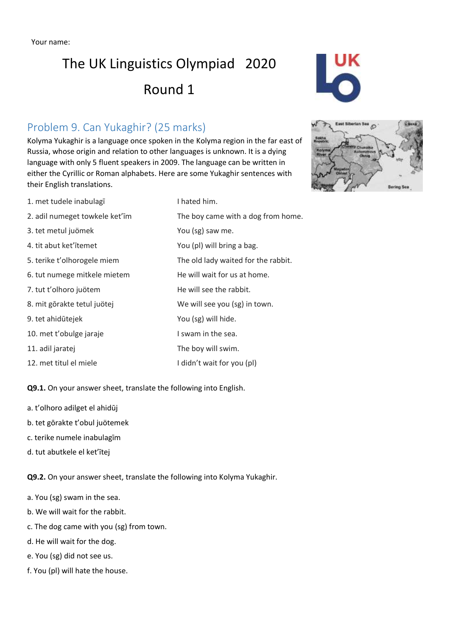## The UK Linguistics Olympiad 2020 Round 1

### Problem 9. Can Yukaghir? (25 marks)

Kolyma Yukaghir is a language once spoken in the Kolyma region in the far east of Russia, whose origin and relation to other languages is unknown. It is a dying language with only 5 fluent speakers in 2009. The language can be written in either the Cyrillic or Roman alphabets. Here are some Yukaghir sentences with their English translations.

- 1. met tudele inabulagī laies and thated him.
- 2. adil numeget towkele ket'īm The boy came with a dog from home.
- 3. tet metul juömek You (sg) saw me.
- 4. tit abut ket'ītemet You (pl) will bring a bag.
- 5. terike t'olhorogele miem The old lady waited for the rabbit.
- 6. tut numege mitkele mietem He will wait for us at home.
- 7. tut t'olhoro juötem He will see the rabbit.
- 8. mit gōrakte tetul juötej var allem We will see you (sg) in town.
- 9. tet ahidūtejek You (sg) will hide.
- 10. met t'obulge jaraje **I swam in the sea.**
- 11. adil jaratej entremies and the boy will swim.
- 12. met titul el miele I didn't wait for you (pl)

**Q9.1.** On your answer sheet, translate the following into English.

- a. t'olhoro adilget el ahidūj
- b. tet gōrakte t'obul juötemek
- c. terike numele inabulagīm
- d. tut abutkele el ket'ītej

**Q9.2.** On your answer sheet, translate the following into Kolyma Yukaghir.

- a. You (sg) swam in the sea.
- b. We will wait for the rabbit.
- c. The dog came with you (sg) from town.
- d. He will wait for the dog.
- e. You (sg) did not see us.
- f. You (pl) will hate the house.



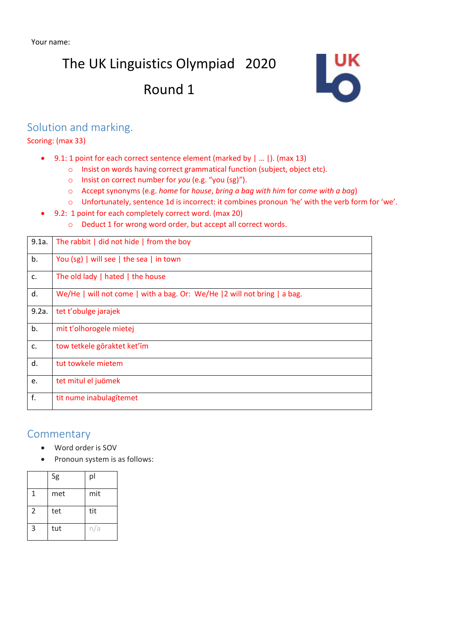## The UK Linguistics Olympiad 2020

## Round 1



#### Solution and marking.

Scoring: (max 33)

- 9.1: 1 point for each correct sentence element (marked by | … |). (max 13)
	- o Insist on words having correct grammatical function (subject, object etc).
		- o Insist on correct number for *you* (e.g. "you (sg)").
		- o Accept synonyms (e.g. *home* for *house*, *bring a bag with him* for *come with a bag*)
		- o Unfortunately, sentence 1d is incorrect: it combines pronoun 'he' with the verb form for 'we'.
- 9.2: 1 point for each completely correct word. (max 20)
	- o Deduct 1 for wrong word order, but accept all correct words.

| 9.1a. | The rabbit $\vert$ did not hide $\vert$ from the boy                      |
|-------|---------------------------------------------------------------------------|
| b.    | You (sg)   will see   the sea   in town                                   |
| c.    | The old lady   hated   the house                                          |
| d.    | We/He   will not come   with a bag. Or: We/He   2 will not bring   a bag. |
| 9.2a. | tet t'obulge jarajek                                                      |
| b.    | mit t'olhorogele mietej                                                   |
| c.    | tow tetkele göraktet ket'īm                                               |
| d.    | tut towkele mietem                                                        |
| e.    | tet mitul el juömek                                                       |
| f.    | tit nume inabulagītemet                                                   |

#### **Commentary**

- Word order is SOV
- Pronoun system is as follows:

|                | Sg  | pl  |
|----------------|-----|-----|
| 1              | met | mit |
| $\overline{2}$ | tet | tit |
| 3              | tut | n/a |